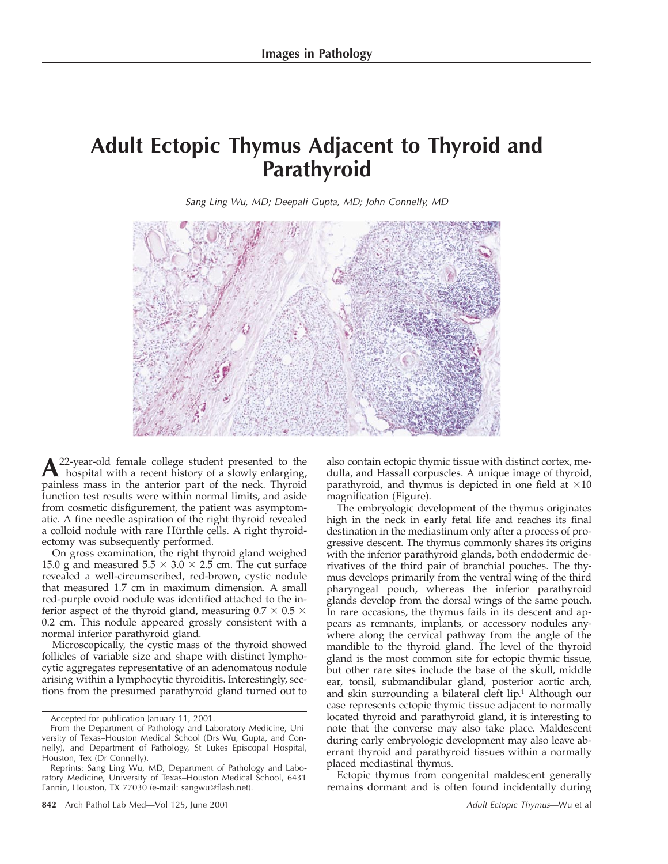## **Adult Ectopic Thymus Adjacent to Thyroid and Parathyroid**

Sang Ling Wu, MD; Deepali Gupta, MD; John Connelly, MD



A<sup>22</sup>-year-old female college student presented to the<br>hospital with a recent history of a slowly enlarging, painless mass in the anterior part of the neck. Thyroid function test results were within normal limits, and aside from cosmetic disfigurement, the patient was asymptomatic. A fine needle aspiration of the right thyroid revealed a colloid nodule with rare Hürthle cells. A right thyroidectomy was subsequently performed.

On gross examination, the right thyroid gland weighed 15.0 g and measured  $5.5 \times 3.0 \times 2.5$  cm. The cut surface revealed a well-circumscribed, red-brown, cystic nodule that measured 1.7 cm in maximum dimension. A small red-purple ovoid nodule was identified attached to the inferior aspect of the thyroid gland, measuring  $0.7 \times 0.5 \times$ 0.2 cm. This nodule appeared grossly consistent with a normal inferior parathyroid gland.

Microscopically, the cystic mass of the thyroid showed follicles of variable size and shape with distinct lymphocytic aggregates representative of an adenomatous nodule arising within a lymphocytic thyroiditis. Interestingly, sections from the presumed parathyroid gland turned out to

also contain ectopic thymic tissue with distinct cortex, medulla, and Hassall corpuscles. A unique image of thyroid, parathyroid, and thymus is depicted in one field at  $\times 10$ magnification (Figure).

The embryologic development of the thymus originates high in the neck in early fetal life and reaches its final destination in the mediastinum only after a process of progressive descent. The thymus commonly shares its origins with the inferior parathyroid glands, both endodermic derivatives of the third pair of branchial pouches. The thymus develops primarily from the ventral wing of the third pharyngeal pouch, whereas the inferior parathyroid glands develop from the dorsal wings of the same pouch. In rare occasions, the thymus fails in its descent and appears as remnants, implants, or accessory nodules anywhere along the cervical pathway from the angle of the mandible to the thyroid gland. The level of the thyroid gland is the most common site for ectopic thymic tissue, but other rare sites include the base of the skull, middle ear, tonsil, submandibular gland, posterior aortic arch, and skin surrounding a bilateral cleft lip.<sup>1</sup> Although our case represents ectopic thymic tissue adjacent to normally located thyroid and parathyroid gland, it is interesting to note that the converse may also take place. Maldescent during early embryologic development may also leave aberrant thyroid and parathyroid tissues within a normally placed mediastinal thymus.

Ectopic thymus from congenital maldescent generally remains dormant and is often found incidentally during

Accepted for publication January 11, 2001.

From the Department of Pathology and Laboratory Medicine, University of Texas–Houston Medical School (Drs Wu, Gupta, and Connelly), and Department of Pathology, St Lukes Episcopal Hospital, Houston, Tex (Dr Connelly).

Reprints: Sang Ling Wu, MD, Department of Pathology and Laboratory Medicine, University of Texas–Houston Medical School, 6431 Fannin, Houston, TX 77030 (e-mail: sangwu@flash.net).